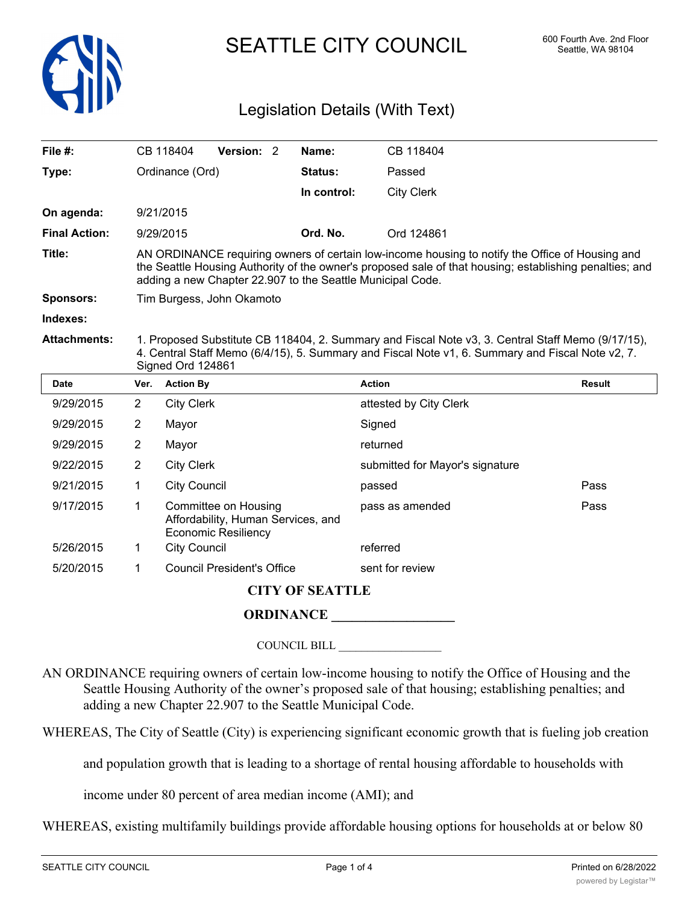

SEATTLE CITY COUNCIL 600 Fourth Ave. 2nd Floor

# Legislation Details (With Text)

| File $#$ :             |                                                                                                                                                                                                                                                                          | CB 118404                                                                                | Version: 2                        |  | Name:           | CB 118404                       |        |  |
|------------------------|--------------------------------------------------------------------------------------------------------------------------------------------------------------------------------------------------------------------------------------------------------------------------|------------------------------------------------------------------------------------------|-----------------------------------|--|-----------------|---------------------------------|--------|--|
| Type:                  |                                                                                                                                                                                                                                                                          | Ordinance (Ord)                                                                          |                                   |  | <b>Status:</b>  | Passed                          |        |  |
|                        |                                                                                                                                                                                                                                                                          |                                                                                          |                                   |  | In control:     | <b>City Clerk</b>               |        |  |
| On agenda:             |                                                                                                                                                                                                                                                                          | 9/21/2015                                                                                |                                   |  |                 |                                 |        |  |
| <b>Final Action:</b>   |                                                                                                                                                                                                                                                                          | 9/29/2015                                                                                |                                   |  | Ord. No.        | Ord 124861                      |        |  |
| Title:                 | AN ORDINANCE requiring owners of certain low-income housing to notify the Office of Housing and<br>the Seattle Housing Authority of the owner's proposed sale of that housing; establishing penalties; and<br>adding a new Chapter 22.907 to the Seattle Municipal Code. |                                                                                          |                                   |  |                 |                                 |        |  |
| Sponsors:              | Tim Burgess, John Okamoto                                                                                                                                                                                                                                                |                                                                                          |                                   |  |                 |                                 |        |  |
| Indexes:               |                                                                                                                                                                                                                                                                          |                                                                                          |                                   |  |                 |                                 |        |  |
| <b>Attachments:</b>    | 1. Proposed Substitute CB 118404, 2. Summary and Fiscal Note v3, 3. Central Staff Memo (9/17/15),<br>4. Central Staff Memo (6/4/15), 5. Summary and Fiscal Note v1, 6. Summary and Fiscal Note v2, 7.<br>Signed Ord 124861                                               |                                                                                          |                                   |  |                 |                                 |        |  |
| <b>Date</b>            | Ver.                                                                                                                                                                                                                                                                     | <b>Action By</b>                                                                         |                                   |  |                 | <b>Action</b>                   | Result |  |
| 9/29/2015              | $\overline{2}$                                                                                                                                                                                                                                                           | <b>City Clerk</b>                                                                        |                                   |  |                 | attested by City Clerk          |        |  |
| 9/29/2015              | $\overline{2}$                                                                                                                                                                                                                                                           | Mayor                                                                                    |                                   |  |                 | Signed                          |        |  |
| 9/29/2015              | $\overline{2}$                                                                                                                                                                                                                                                           | Mayor                                                                                    |                                   |  |                 | returned                        |        |  |
| 9/22/2015              | $\overline{2}$                                                                                                                                                                                                                                                           | <b>City Clerk</b>                                                                        |                                   |  |                 | submitted for Mayor's signature |        |  |
| 9/21/2015              | 1                                                                                                                                                                                                                                                                        | <b>City Council</b>                                                                      |                                   |  | passed          | Pass                            |        |  |
| 9/17/2015              | 1                                                                                                                                                                                                                                                                        | Committee on Housing<br>Affordability, Human Services, and<br><b>Economic Resiliency</b> |                                   |  | pass as amended | Pass                            |        |  |
| 5/26/2015              | 1                                                                                                                                                                                                                                                                        | <b>City Council</b>                                                                      |                                   |  |                 | referred                        |        |  |
| 5/20/2015              | 1                                                                                                                                                                                                                                                                        |                                                                                          | <b>Council President's Office</b> |  |                 | sent for review                 |        |  |
| <b>CITY OF SEATTLE</b> |                                                                                                                                                                                                                                                                          |                                                                                          |                                   |  |                 |                                 |        |  |

# **ORDINANCE \_\_\_\_\_\_\_\_\_\_\_\_\_\_\_\_\_\_**

COUNCIL BILL \_\_\_\_\_\_\_\_\_\_\_\_\_\_\_\_\_\_

AN ORDINANCE requiring owners of certain low-income housing to notify the Office of Housing and the Seattle Housing Authority of the owner's proposed sale of that housing; establishing penalties; and adding a new Chapter 22.907 to the Seattle Municipal Code.

WHEREAS, The City of Seattle (City) is experiencing significant economic growth that is fueling job creation

and population growth that is leading to a shortage of rental housing affordable to households with

income under 80 percent of area median income (AMI); and

WHEREAS, existing multifamily buildings provide affordable housing options for households at or below 80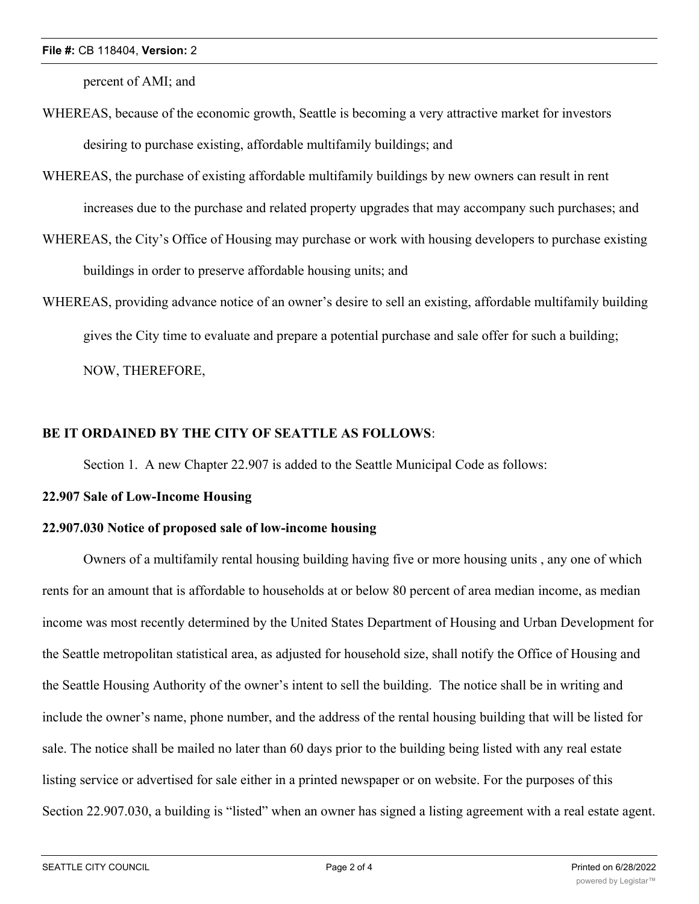percent of AMI; and

- WHEREAS, because of the economic growth, Seattle is becoming a very attractive market for investors desiring to purchase existing, affordable multifamily buildings; and
- WHEREAS, the purchase of existing affordable multifamily buildings by new owners can result in rent increases due to the purchase and related property upgrades that may accompany such purchases; and
- WHEREAS, the City's Office of Housing may purchase or work with housing developers to purchase existing buildings in order to preserve affordable housing units; and
- WHEREAS, providing advance notice of an owner's desire to sell an existing, affordable multifamily building gives the City time to evaluate and prepare a potential purchase and sale offer for such a building; NOW, THEREFORE,

## **BE IT ORDAINED BY THE CITY OF SEATTLE AS FOLLOWS**:

Section 1. A new Chapter 22.907 is added to the Seattle Municipal Code as follows:

### **22.907 Sale of Low-Income Housing**

#### **22.907.030 Notice of proposed sale of low-income housing**

Owners of a multifamily rental housing building having five or more housing units , any one of which rents for an amount that is affordable to households at or below 80 percent of area median income, as median income was most recently determined by the United States Department of Housing and Urban Development for the Seattle metropolitan statistical area, as adjusted for household size, shall notify the Office of Housing and the Seattle Housing Authority of the owner's intent to sell the building. The notice shall be in writing and include the owner's name, phone number, and the address of the rental housing building that will be listed for sale. The notice shall be mailed no later than 60 days prior to the building being listed with any real estate listing service or advertised for sale either in a printed newspaper or on website. For the purposes of this Section 22.907.030, a building is "listed" when an owner has signed a listing agreement with a real estate agent.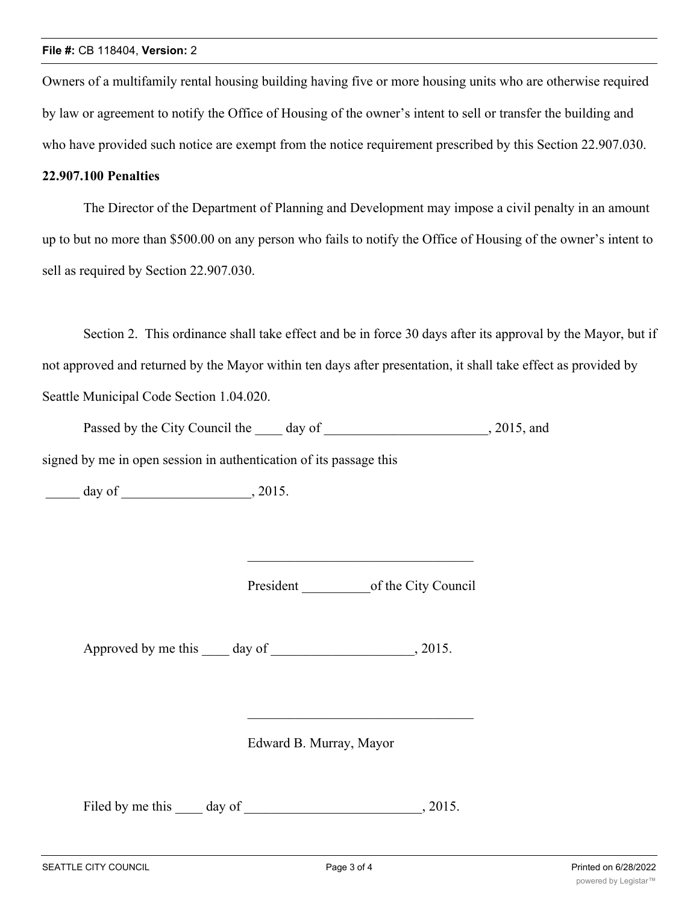Owners of a multifamily rental housing building having five or more housing units who are otherwise required by law or agreement to notify the Office of Housing of the owner's intent to sell or transfer the building and who have provided such notice are exempt from the notice requirement prescribed by this Section 22.907.030.

#### **22.907.100 Penalties**

The Director of the Department of Planning and Development may impose a civil penalty in an amount up to but no more than \$500.00 on any person who fails to notify the Office of Housing of the owner's intent to sell as required by Section 22.907.030.

Section 2. This ordinance shall take effect and be in force 30 days after its approval by the Mayor, but if not approved and returned by the Mayor within ten days after presentation, it shall take effect as provided by Seattle Municipal Code Section 1.04.020.

| Passed by the City Council the | dav of | 2015, and |
|--------------------------------|--------|-----------|
|--------------------------------|--------|-----------|

signed by me in open session in authentication of its passage this

 $\frac{1}{\sqrt{2\pi}} \frac{1}{\sqrt{2\pi}} \frac{1}{\sqrt{2\pi}}$  day of  $\frac{1}{\sqrt{2\pi}} \frac{1}{\sqrt{2\pi}}$ , 2015.

President of the City Council

Approved by me this day of 3015.

Edward B. Murray, Mayor

Filed by me this day of  $\qquad \qquad$  0.2015.